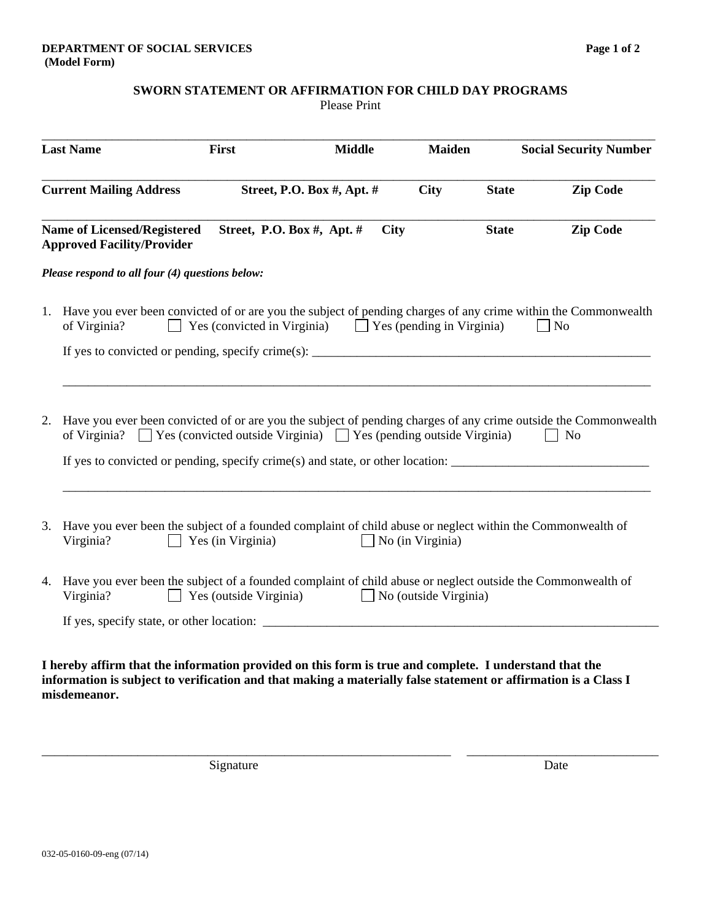Please Print

| <b>Last Name</b><br><b>Current Mailing Address</b> |                                                                                                                                                                                                                                                                                                                                                            | First                         | <b>Middle</b>              | <b>Maiden</b>                |              | <b>Social Security Number</b><br><b>Zip Code</b> |  |
|----------------------------------------------------|------------------------------------------------------------------------------------------------------------------------------------------------------------------------------------------------------------------------------------------------------------------------------------------------------------------------------------------------------------|-------------------------------|----------------------------|------------------------------|--------------|--------------------------------------------------|--|
|                                                    |                                                                                                                                                                                                                                                                                                                                                            |                               | Street, P.O. Box #, Apt. # | <b>City</b>                  | <b>State</b> |                                                  |  |
|                                                    | <b>Name of Licensed/Registered</b><br><b>Approved Facility/Provider</b>                                                                                                                                                                                                                                                                                    | Street, P.O. Box #, Apt. #    | <b>City</b>                |                              | <b>State</b> | <b>Zip Code</b>                                  |  |
|                                                    | Please respond to all four (4) questions below:                                                                                                                                                                                                                                                                                                            |                               |                            |                              |              |                                                  |  |
|                                                    | 1. Have you ever been convicted of or are you the subject of pending charges of any crime within the Commonwealth<br>Yes (convicted in Virginia) $\Box$ Yes (pending in Virginia)<br>of Virginia?<br>$\vert$ No                                                                                                                                            |                               |                            |                              |              |                                                  |  |
|                                                    | If yes to convicted or pending, specify crime(s): $\frac{1}{1}$                                                                                                                                                                                                                                                                                            |                               |                            |                              |              |                                                  |  |
|                                                    |                                                                                                                                                                                                                                                                                                                                                            |                               |                            |                              |              |                                                  |  |
| 2.                                                 | Have you ever been convicted of or are you the subject of pending charges of any crime outside the Commonwealth<br>of Virginia? $\Box$ Yes (convicted outside Virginia) $\Box$ Yes (pending outside Virginia)                                                                                                                                              |                               |                            |                              |              | $\vert$ No                                       |  |
|                                                    | If yes to convicted or pending, specify crime(s) and state, or other location: $\frac{1}{\sqrt{1-\frac{1}{\sqrt{1-\frac{1}{\sqrt{1-\frac{1}{\sqrt{1-\frac{1}{\sqrt{1-\frac{1}{\sqrt{1-\frac{1}{\sqrt{1-\frac{1}{\sqrt{1-\frac{1}{\sqrt{1-\frac{1}{\sqrt{1-\frac{1}{\sqrt{1-\frac{1}{\sqrt{1-\frac{1}{\sqrt{1-\frac{1}{\sqrt{1-\frac{1}{\sqrt{1-\frac{1}{\$ |                               |                            |                              |              |                                                  |  |
|                                                    |                                                                                                                                                                                                                                                                                                                                                            |                               |                            |                              |              |                                                  |  |
|                                                    | 3. Have you ever been the subject of a founded complaint of child abuse or neglect within the Commonwealth of<br>Virginia?                                                                                                                                                                                                                                 | $\Box$ Yes (in Virginia)      |                            | $\Box$ No (in Virginia)      |              |                                                  |  |
|                                                    | 4. Have you ever been the subject of a founded complaint of child abuse or neglect outside the Commonwealth of<br>Virginia?                                                                                                                                                                                                                                | $\Box$ Yes (outside Virginia) |                            | $\Box$ No (outside Virginia) |              |                                                  |  |
|                                                    |                                                                                                                                                                                                                                                                                                                                                            |                               |                            |                              |              |                                                  |  |
|                                                    |                                                                                                                                                                                                                                                                                                                                                            |                               |                            |                              |              |                                                  |  |

**I hereby affirm that the information provided on this form is true and complete. I understand that the information is subject to verification and that making a materially false statement or affirmation is a Class I misdemeanor.** 

\_\_\_\_\_\_\_\_\_\_\_\_\_\_\_\_\_\_\_\_\_\_\_\_\_\_\_\_\_\_\_\_\_\_\_\_\_\_\_\_\_\_\_\_\_\_\_\_\_\_\_\_\_\_\_\_\_\_\_\_\_\_\_\_ \_\_\_\_\_\_\_\_\_\_\_\_\_\_\_\_\_\_\_\_\_\_\_\_\_\_\_\_\_\_

Signature Date